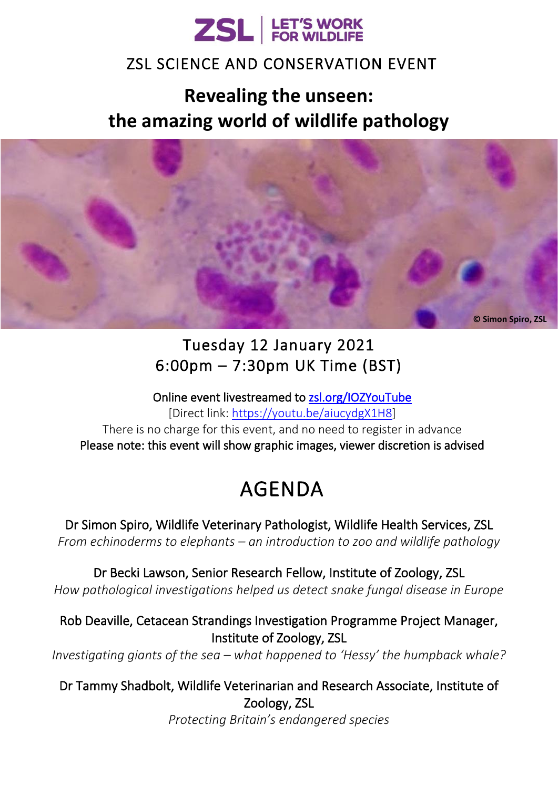

### ZSL SCIENCE AND CONSERVATION EVENT

## **Revealing the unseen: the amazing world of wildlife pathology**



## Tuesday 12 January 2021 6:00pm – 7:30pm UK Time (BST)

Online event livestreamed to<zsl.org/IOZYouTube> [Direct link: [https://youtu.be/aiucydgX1H8\]](https://youtu.be/aiucydgX1H8) There is no charge for this event, and no need to register in advance Please note: this event will show graphic images, viewer discretion is advised

# AGENDA

Dr Simon Spiro, Wildlife Veterinary Pathologist, Wildlife Health Services, ZSL *From echinoderms to elephants – an introduction to zoo and wildlife pathology*

Dr Becki Lawson, Senior Research Fellow, Institute of Zoology, ZSL *How pathological investigations helped us detect snake fungal disease in Europe*

Rob Deaville, Cetacean Strandings Investigation Programme Project Manager, Institute of Zoology, ZSL

*Investigating giants of the sea – what happened to 'Hessy' the humpback whale?*

Dr Tammy Shadbolt, Wildlife Veterinarian and Research Associate, Institute of Zoology, ZSL

*Protecting Britain's endangered species*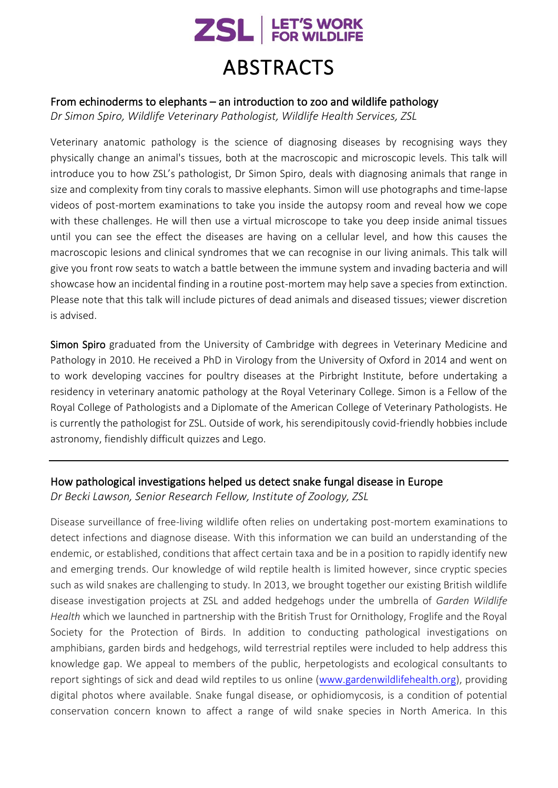

#### From echinoderms to elephants – an introduction to zoo and wildlife pathology

*Dr Simon Spiro, Wildlife Veterinary Pathologist, Wildlife Health Services, ZSL*

Veterinary anatomic pathology is the science of diagnosing diseases by recognising ways they physically change an animal's tissues, both at the macroscopic and microscopic levels. This talk will introduce you to how ZSL's pathologist, Dr Simon Spiro, deals with diagnosing animals that range in size and complexity from tiny corals to massive elephants. Simon will use photographs and time-lapse videos of post-mortem examinations to take you inside the autopsy room and reveal how we cope with these challenges. He will then use a virtual microscope to take you deep inside animal tissues until you can see the effect the diseases are having on a cellular level, and how this causes the macroscopic lesions and clinical syndromes that we can recognise in our living animals. This talk will give you front row seats to watch a battle between the immune system and invading bacteria and will showcase how an incidental finding in a routine post-mortem may help save a species from extinction. Please note that this talk will include pictures of dead animals and diseased tissues; viewer discretion is advised.

Simon Spiro graduated from the University of Cambridge with degrees in Veterinary Medicine and Pathology in 2010. He received a PhD in Virology from the University of Oxford in 2014 and went on to work developing vaccines for poultry diseases at the Pirbright Institute, before undertaking a residency in veterinary anatomic pathology at the Royal Veterinary College. Simon is a Fellow of the Royal College of Pathologists and a Diplomate of the American College of Veterinary Pathologists. He is currently the pathologist for ZSL. Outside of work, his serendipitously covid-friendly hobbies include astronomy, fiendishly difficult quizzes and Lego.

#### How pathological investigations helped us detect snake fungal disease in Europe

*Dr Becki Lawson, Senior Research Fellow, Institute of Zoology, ZSL*

Disease surveillance of free-living wildlife often relies on undertaking post-mortem examinations to detect infections and diagnose disease. With this information we can build an understanding of the endemic, or established, conditions that affect certain taxa and be in a position to rapidly identify new and emerging trends. Our knowledge of wild reptile health is limited however, since cryptic species such as wild snakes are challenging to study. In 2013, we brought together our existing British wildlife disease investigation projects at ZSL and added hedgehogs under the umbrella of *Garden Wildlife Health* which we launched in partnership with the British Trust for Ornithology, Froglife and the Royal Society for the Protection of Birds. In addition to conducting pathological investigations on amphibians, garden birds and hedgehogs, wild terrestrial reptiles were included to help address this knowledge gap. We appeal to members of the public, herpetologists and ecological consultants to report sightings of sick and dead wild reptiles to us online [\(www.gardenwildlifehealth.org\)](http://www.gardenwildlifehealth.org/), providing digital photos where available. Snake fungal disease, or ophidiomycosis, is a condition of potential conservation concern known to affect a range of wild snake species in North America. In this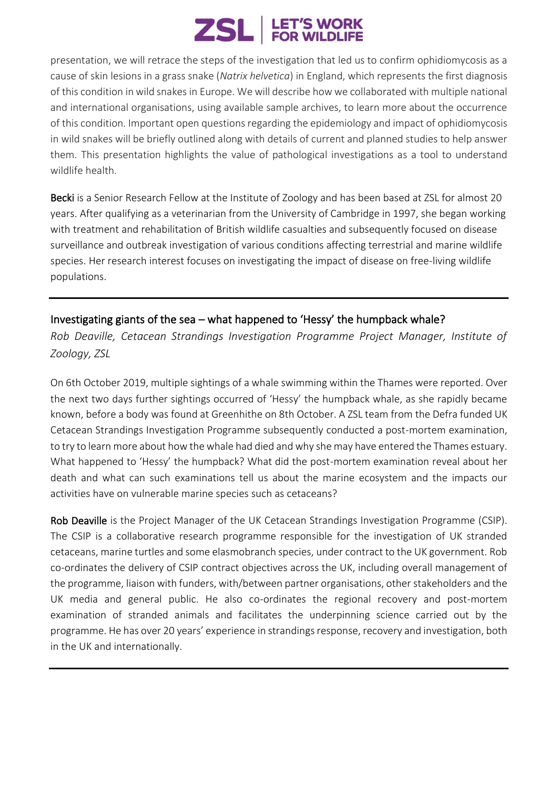# **ZSL** ERT'S WORK

presentation, we will retrace the steps of the investigation that led us to confirm ophidiomycosis as a cause of skin lesions in a grass snake (*Natrix helvetica*) in England, which represents the first diagnosis of this condition in wild snakes in Europe. We will describe how we collaborated with multiple national and international organisations, using available sample archives, to learn more about the occurrence of this condition. Important open questions regarding the epidemiology and impact of ophidiomycosis in wild snakes will be briefly outlined along with details of current and planned studies to help answer them. This presentation highlights the value of pathological investigations as a tool to understand wildlife health.

Becki is a Senior Research Fellow at the Institute of Zoology and has been based at ZSL for almost 20 years. After qualifying as a veterinarian from the University of Cambridge in 1997, she began working with treatment and rehabilitation of British wildlife casualties and subsequently focused on disease surveillance and outbreak investigation of various conditions affecting terrestrial and marine wildlife species. Her research interest focuses on investigating the impact of disease on free-living wildlife populations.

#### Investigating giants of the sea – what happened to 'Hessy' the humpback whale?

*Rob Deaville, Cetacean Strandings Investigation Programme Project Manager, Institute of Zoology, ZSL*

On 6th October 2019, multiple sightings of a whale swimming within the Thames were reported. Over the next two days further sightings occurred of 'Hessy' the humpback whale, as she rapidly became known, before a body was found at Greenhithe on 8th October. A ZSL team from the Defra funded UK Cetacean Strandings Investigation Programme subsequently conducted a post-mortem examination, to try to learn more about how the whale had died and why she may have entered the Thames estuary. What happened to 'Hessy' the humpback? What did the post-mortem examination reveal about her death and what can such examinations tell us about the marine ecosystem and the impacts our activities have on vulnerable marine species such as cetaceans?

Rob Deaville is the Project Manager of the UK Cetacean Strandings Investigation Programme (CSIP). The CSIP is a collaborative research programme responsible for the investigation of UK stranded cetaceans, marine turtles and some elasmobranch species, under contract to the UK government. Rob co-ordinates the delivery of CSIP contract objectives across the UK, including overall management of the programme, liaison with funders, with/between partner organisations, other stakeholders and the UK media and general public. He also co-ordinates the regional recovery and post-mortem examination of stranded animals and facilitates the underpinning science carried out by the programme. He has over 20 years' experience in strandings response, recovery and investigation, both in the UK and internationally.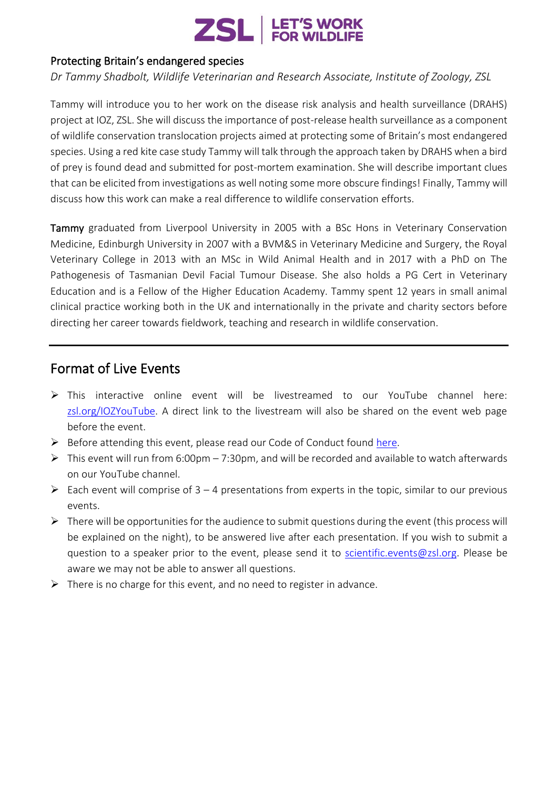

#### Protecting Britain's endangered species

*Dr Tammy Shadbolt, Wildlife Veterinarian and Research Associate, Institute of Zoology, ZSL*

Tammy will introduce you to her work on the disease risk analysis and health surveillance (DRAHS) project at IOZ, ZSL. She will discuss the importance of post-release health surveillance as a component of wildlife conservation translocation projects aimed at protecting some of Britain's most endangered species. Using a red kite case study Tammy will talk through the approach taken by DRAHS when a bird of prey is found dead and submitted for post-mortem examination. She will describe important clues that can be elicited from investigations as well noting some more obscure findings! Finally, Tammy will discuss how this work can make a real difference to wildlife conservation efforts.

Tammy graduated from Liverpool University in 2005 with a BSc Hons in Veterinary Conservation Medicine, Edinburgh University in 2007 with a BVM&S in Veterinary Medicine and Surgery, the Royal Veterinary College in 2013 with an MSc in Wild Animal Health and in 2017 with a PhD on The Pathogenesis of Tasmanian Devil Facial Tumour Disease. She also holds a PG Cert in Veterinary Education and is a Fellow of the Higher Education Academy. Tammy spent 12 years in small animal clinical practice working both in the UK and internationally in the private and charity sectors before directing her career towards fieldwork, teaching and research in wildlife conservation.

#### Format of Live Events

- ➢ This interactive online event will be livestreamed to our YouTube channel here: [zsl.org/IOZYouTube.](zsl.org/IOZYouTube) A direct link to the livestream will also be shared on the event web page before the event.
- ➢ Before attending this event, please read our Code of Conduct found [here.](https://www.zsl.org/sites/default/files/media/2020-09/Code%20of%20conduct_online%20events%20at%20ZSL.pdf)
- $\triangleright$  This event will run from 6:00pm 7:30pm, and will be recorded and available to watch afterwards on our YouTube channel.
- $\triangleright$  Each event will comprise of 3 4 presentations from experts in the topic, similar to our previous events.
- $\triangleright$  There will be opportunities for the audience to submit questions during the event (this process will be explained on the night), to be answered live after each presentation. If you wish to submit a question to a speaker prior to the event, please send it to [scientific.events@zsl.org.](mailto:scientific.events@zsl.org) Please be aware we may not be able to answer all questions.
- $\triangleright$  There is no charge for this event, and no need to register in advance.